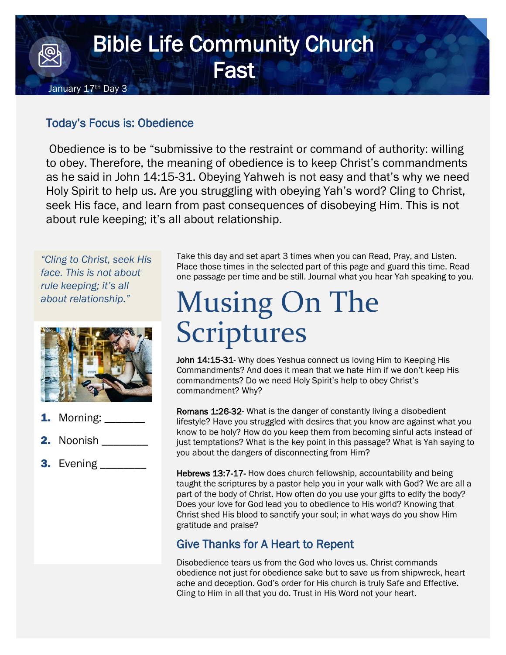## Bible Life Community Church **Fast** January 17<sup>th</sup> Day 3

## Today's Focus is: Obedience

Obedience is to be "submissive to the restraint or command of authority: willing to obey. Therefore, the meaning of obedience is to keep Christ's commandments as he said in John 14:15-31. Obeying Yahweh is not easy and that's why we need Holy Spirit to help us. Are you struggling with obeying Yah's word? Cling to Christ, seek His face, and learn from past consequences of disobeying Him. This is not about rule keeping; it's all about relationship.

*"Cling to Christ, seek His face. This is not about rule keeping; it's all about relationship."*



- Morning: \_\_\_\_\_\_\_
- 2. Noonish \_\_\_\_\_\_\_\_\_
- 3. Evening \_\_\_\_\_\_\_\_

Take this day and set apart 3 times when you can Read, Pray, and Listen. Place those times in the selected part of this page and guard this time. Read one passage per time and be still. Journal what you hear Yah speaking to you.

## Musing On The Scriptures

John 14:15-31- Why does Yeshua connect us loving Him to Keeping His Commandments? And does it mean that we hate Him if we don't keep His commandments? Do we need Holy Spirit's help to obey Christ's commandment? Why?

Romans 1:26-32- What is the danger of constantly living a disobedient lifestyle? Have you struggled with desires that you know are against what you know to be holy? How do you keep them from becoming sinful acts instead of just temptations? What is the key point in this passage? What is Yah saying to you about the dangers of disconnecting from Him?

Hebrews 13:7-17- How does church fellowship, accountability and being taught the scriptures by a pastor help you in your walk with God? We are all a part of the body of Christ. How often do you use your gifts to edify the body? Does your love for God lead you to obedience to His world? Knowing that Christ shed His blood to sanctify your soul; in what ways do you show Him gratitude and praise?

## Give Thanks for A Heart to Repent

Disobedience tears us from the God who loves us. Christ commands obedience not just for obedience sake but to save us from shipwreck, heart ache and deception. God's order for His church is truly Safe and Effective. Cling to Him in all that you do. Trust in His Word not your heart.